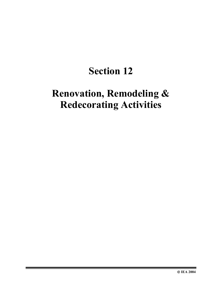## **Section 12**

## **Renovation, Remodeling & Redecorating Activities**